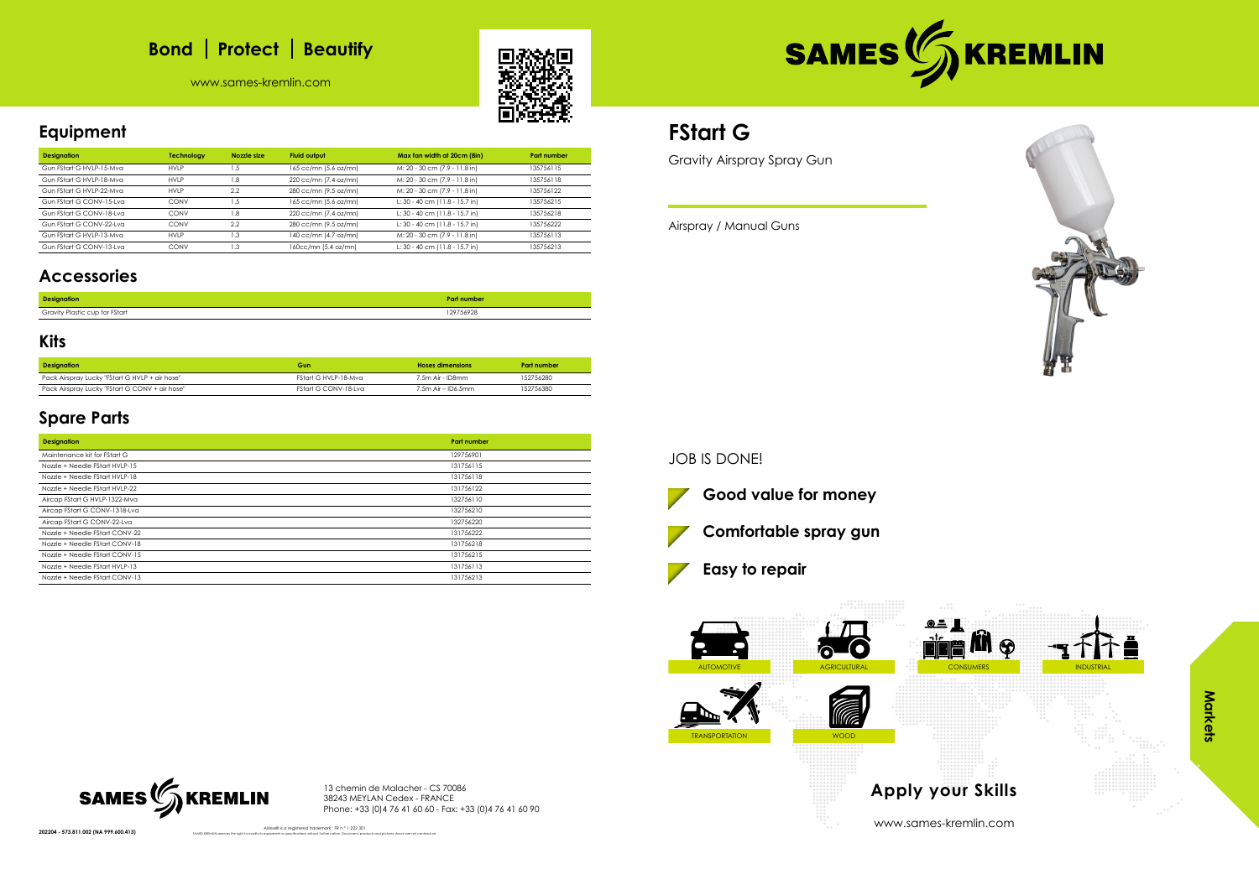# **Bond** | Protect | Beautify

www.sames-kremlin.com





**Equipment**

| <b>Designation</b>       | Technology  | Nozzle size | <b>Fluid output</b>   | Max fan width at 20cm (8in)    | <b>Part number</b> |
|--------------------------|-------------|-------------|-----------------------|--------------------------------|--------------------|
| Gun FStart G HVLP-15-Mva | <b>HVLP</b> | .5          | 165 cc/mn (5.6 oz/mn) | M: 20 - 30 cm (7.9 - 11.8 in)  | 135756115          |
| Gun FStart G HVLP-18-Mya | <b>HVLP</b> | .8          | 220 cc/mn (7.4 oz/mn) | M: 20 - 30 cm (7.9 - 11.8 in)  | 135756118          |
| Gun FStart G HVLP-22-Mva | <b>HVLP</b> | 2.2         | 280 cc/mn (9.5 oz/mn) | M: 20 - 30 cm (7.9 - 11.8 in)  | 135756122          |
| Gun FStart G CONV-15-Lva | CONV        | .5          | 165 cc/mn (5.6 oz/mn) | L: 30 - 40 cm (11.8 - 15.7 in) | 135756215          |
| Gun FStart G CONV-18-Lva | CONV        | .8          | 220 cc/mn (7.4 oz/mn) | L: 30 - 40 cm (11.8 - 15.7 in) | 135756218          |
| Gun FStart G CONV-22-Lva | CONV        | 2.2         | 280 cc/mn (9.5 oz/mn) | L: 30 - 40 cm (11.8 - 15.7 in) | 135756222          |
| Gun FStart G HVLP-13-Mva | <b>HVLP</b> | .3          | 140 cc/mn (4.7 oz/mn) | M: 20 - 30 cm (7.9 - 11.8 in)  | 135756113          |
| Gun FStart G CONV-13-Lva | CONV        | $\cdot$ 3   | 160cc/mn (5.4 oz/mn)  | L: 30 - 40 cm (11.8 - 15.7 in) | 135756213          |
|                          |             |             |                       |                                |                    |

### **Accessories**

| <b>Designation</b>             | <b>Part number</b> |
|--------------------------------|--------------------|
| Gravity Plastic cup for FStart | 129756928<br>.     |

#### **Kits**

| <b>Designation</b>                             | Gun                  | <b>Hoses dimensions</b> | Part number |
|------------------------------------------------|----------------------|-------------------------|-------------|
| Pack Airspray Lucky "FStart G HVLP + air hose" | FStart G HVLP-18-Mva | 7.5m Air - ID8mm        | 152756280   |
| Pack Airspray Lucky "FStart G CONV + air hose" | FStart G CONV-18-Lva | $7.5m$ Air – ID6.5mm    | 152756380   |

### **Spare Parts**

| <b>Designation</b>             | <b>Part number</b> |
|--------------------------------|--------------------|
| Maintenance kit for FStart G   | 129756901          |
| Nozzle + Needle FStart HVLP-15 | 131756115          |
| Nozzle + Needle FStart HVLP-18 | 131756118          |
| Nozzle + Needle FStart HVLP-22 | 131756122          |
| Aircap FStart G HVLP-1322-Mva  | 132756110          |
| Aircap FStart G CONV-1318-Lva  | 132756210          |
| Aircap FStart G CONV-22-Lva    | 132756220          |
| Nozzle + Needle FStart CONV-22 | 131756222          |
| Nozzle + Needle FStart CONV-18 | 131756218          |
| Nozzle + Needle FStart CONV-15 | 131756215          |
| Nozzle + Needle FStart HVLP-13 | 131756113          |
| Nozzle + Needle FStart CONV-13 | 131756213          |

13 chemin de Malacher - CS 70086 38243 MEYLAN Cedex - FRANCE Phone: +33 (0)4 76 41 60 60 - Fax: +33 (0)4 76 41 60 90

202204 - 573.811.002 (NA 999.600.413)



Airless® is a registered trademark : FR n ° 1 222 301

# **FStart G**

Gravity Airspray Spray Gun

Airspray / Manual Guns

JOB IS DONE!







www.sames-kremlin.com